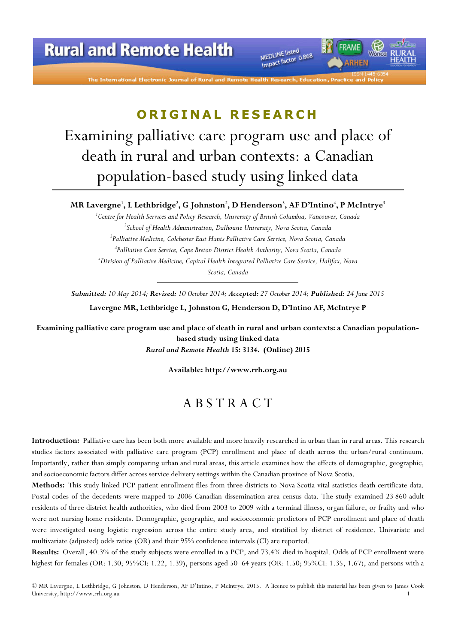# **Rural and Remote Health**

The International Electronic Journal of Rural and Remote

MEDLINE listed MEDLINE listed<br>Impact factor 0.868

### ORIGINAL RESEARCH

Examining palliative care program use and place of death in rural and urban contexts: a Canadian population-based study using linked data

MR Lavergne', L Lethbridge<sup>2</sup>, G Johnston<sup>2</sup>, D Henderson<sup>3</sup>, AF D'Intino<sup>4</sup>, P McIntrye<sup>5</sup>

 ${}^{1}$ Centre for Health Services and Policy Research, University of British Columbia, Vancouver, Canada  ${}^{2}$ School of Health Administration, Dalhousie University, Nova Scotia, Canada <sup>3</sup>Palliative Medicine, Colchester East Hants Palliative Care Service, Nova Scotia, Canada 4 Palliative Care Service, Cape Breton District Health Authority, Nova Scotia, Canada  $^5$ Division of Palliative Medicine, Capital Health Integrated Palliative Care Service, Halifax, Nova Scotia, Canada

Submitted: 10 May 2014; Revised: 10 October 2014; Accepted: 27 October 2014; Published: 24 June 2015

Lavergne MR, Lethbridge L, Johnston G, Henderson D, D'Intino AF, McIntrye P

Examining palliative care program use and place of death in rural and urban contexts: a Canadian populationbased study using linked data Rural and Remote Health 15: 3134. (Online) 2015

Available: http://www.rrh.org.au

### A B S T R A C T

Introduction: Palliative care has been both more available and more heavily researched in urban than in rural areas. This research studies factors associated with palliative care program (PCP) enrollment and place of death across the urban/rural continuum. Importantly, rather than simply comparing urban and rural areas, this article examines how the effects of demographic, geographic, and socioeconomic factors differ across service delivery settings within the Canadian province of Nova Scotia.

Methods: This study linked PCP patient enrollment files from three districts to Nova Scotia vital statistics death certificate data. Postal codes of the decedents were mapped to 2006 Canadian dissemination area census data. The study examined 23 860 adult residents of three district health authorities, who died from 2003 to 2009 with a terminal illness, organ failure, or frailty and who were not nursing home residents. Demographic, geographic, and socioeconomic predictors of PCP enrollment and place of death were investigated using logistic regression across the entire study area, and stratified by district of residence. Univariate and multivariate (adjusted) odds ratios (OR) and their 95% confidence intervals (CI) are reported.

Results: Overall, 40.3% of the study subjects were enrolled in a PCP, and 73.4% died in hospital. Odds of PCP enrollment were highest for females (OR: 1.30; 95%CI: 1.22, 1.39), persons aged 50–64 years (OR: 1.50; 95%CI: 1.35, 1.67), and persons with a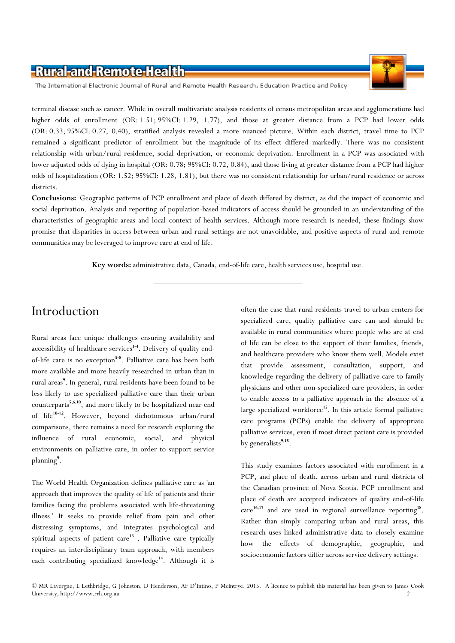

The International Electronic Journal of Rural and Remote Health Research, Education Practice and Policy

terminal disease such as cancer. While in overall multivariate analysis residents of census metropolitan areas and agglomerations had higher odds of enrollment (OR: 1.51; 95%CI: 1.29, 1.77), and those at greater distance from a PCP had lower odds (OR: 0.33; 95%CI: 0.27, 0.40), stratified analysis revealed a more nuanced picture. Within each district, travel time to PCP remained a significant predictor of enrollment but the magnitude of its effect differed markedly. There was no consistent relationship with urban/rural residence, social deprivation, or economic deprivation. Enrollment in a PCP was associated with lower adjusted odds of dying in hospital (OR: 0.78; 95%CI: 0.72, 0.84), and those living at greater distance from a PCP had higher odds of hospitalization (OR: 1.52; 95%CI: 1.28, 1.81), but there was no consistent relationship for urban/rural residence or across districts.

Conclusions: Geographic patterns of PCP enrollment and place of death differed by district, as did the impact of economic and social deprivation. Analysis and reporting of population-based indicators of access should be grounded in an understanding of the characteristics of geographic areas and local context of health services. Although more research is needed, these findings show promise that disparities in access between urban and rural settings are not unavoidable, and positive aspects of rural and remote communities may be leveraged to improve care at end of life.

Key words: administrative data, Canada, end-of-life care, health services use, hospital use.

### Introduction

Rural areas face unique challenges ensuring availability and accessibility of healthcare services<sup>1-4</sup>. Delivery of quality endof-life care is no exception<sup>5-8</sup>. Palliative care has been both more available and more heavily researched in urban than in rural areas<sup>9</sup>. In general, rural residents have been found to be less likely to use specialized palliative care than their urban counterparts<sup>5,6,10</sup>, and more likely to be hospitalized near end of life<sup>10-12</sup>. However, beyond dichotomous urban/rural comparisons, there remains a need for research exploring the influence of rural economic, social, and physical environments on palliative care, in order to support service planning<sup>9</sup>.

The World Health Organization defines palliative care as 'an approach that improves the quality of life of patients and their families facing the problems associated with life-threatening illness.' It seeks to provide relief from pain and other distressing symptoms, and integrates psychological and spiritual aspects of patient care<sup>13</sup>. Palliative care typically requires an interdisciplinary team approach, with members each contributing specialized knowledge<sup>14</sup>. Although it is

often the case that rural residents travel to urban centers for specialized care, quality palliative care can and should be available in rural communities where people who are at end of life can be close to the support of their families, friends, and healthcare providers who know them well. Models exist that provide assessment, consultation, support, and knowledge regarding the delivery of palliative care to family physicians and other non-specialized care providers, in order to enable access to a palliative approach in the absence of a large specialized workforce<sup>15</sup>. In this article formal palliative care programs (PCPs) enable the delivery of appropriate palliative services, even if most direct patient care is provided by generalists<sup>9,15</sup>.

This study examines factors associated with enrollment in a PCP, and place of death, across urban and rural districts of the Canadian province of Nova Scotia. PCP enrollment and place of death are accepted indicators of quality end-of-life care<sup>16,17</sup> and are used in regional surveillance reporting<sup>18</sup>. Rather than simply comparing urban and rural areas, this research uses linked administrative data to closely examine how the effects of demographic, geographic, and socioeconomic factors differ across service delivery settings.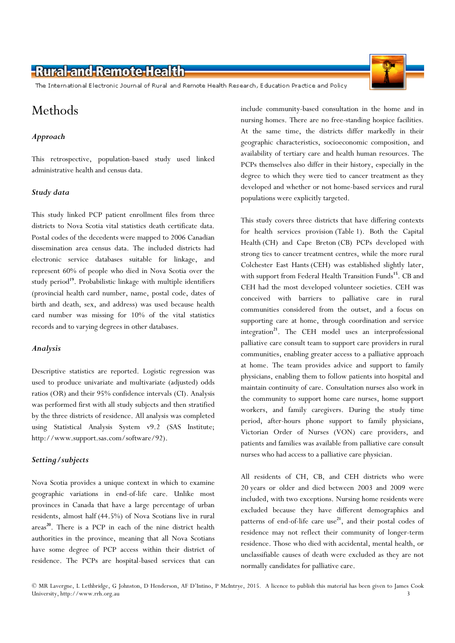The International Electronic Journal of Rural and Remote Health Research, Education Practice and Policy

# Methods

#### Approach

This retrospective, population-based study used linked administrative health and census data.

#### Study data

This study linked PCP patient enrollment files from three districts to Nova Scotia vital statistics death certificate data. Postal codes of the decedents were mapped to 2006 Canadian dissemination area census data. The included districts had electronic service databases suitable for linkage, and represent 60% of people who died in Nova Scotia over the study period<sup>19</sup>. Probabilistic linkage with multiple identifiers (provincial health card number, name, postal code, dates of birth and death, sex, and address) was used because health card number was missing for 10% of the vital statistics records and to varying degrees in other databases.

#### Analysis

Descriptive statistics are reported. Logistic regression was used to produce univariate and multivariate (adjusted) odds ratios (OR) and their 95% confidence intervals (CI). Analysis was performed first with all study subjects and then stratified by the three districts of residence. All analysis was completed using Statistical Analysis System v9.2 (SAS Institute; http://www.support.sas.com/software/92).

#### Setting/subjects

Nova Scotia provides a unique context in which to examine geographic variations in end-of-life care. Unlike most provinces in Canada that have a large percentage of urban residents, almost half (44.5%) of Nova Scotians live in rural areas<sup>20</sup>. There is a PCP in each of the nine district health authorities in the province, meaning that all Nova Scotians have some degree of PCP access within their district of residence. The PCPs are hospital-based services that can



include community-based consultation in the home and in nursing homes. There are no free-standing hospice facilities. At the same time, the districts differ markedly in their geographic characteristics, socioeconomic composition, and availability of tertiary care and health human resources. The PCPs themselves also differ in their history, especially in the degree to which they were tied to cancer treatment as they developed and whether or not home-based services and rural populations were explicitly targeted.

This study covers three districts that have differing contexts for health services provision (Table 1). Both the Capital Health (CH) and Cape Breton (CB) PCPs developed with strong ties to cancer treatment centres, while the more rural Colchester East Hants (CEH) was established slightly later, with support from Federal Health Transition Funds<sup>15</sup>. CB and CEH had the most developed volunteer societies. CEH was conceived with barriers to palliative care in rural communities considered from the outset, and a focus on supporting care at home, through coordination and service integration<sup>21</sup>. The CEH model uses an interprofessional palliative care consult team to support care providers in rural communities, enabling greater access to a palliative approach at home. The team provides advice and support to family physicians, enabling them to follow patients into hospital and maintain continuity of care. Consultation nurses also work in the community to support home care nurses, home support workers, and family caregivers. During the study time period, after-hours phone support to family physicians, Victorian Order of Nurses (VON) care providers, and patients and families was available from palliative care consult nurses who had access to a palliative care physician.

All residents of CH, CB, and CEH districts who were 20 years or older and died between 2003 and 2009 were included, with two exceptions. Nursing home residents were excluded because they have different demographics and patterns of end-of-life care use<sup>21</sup>, and their postal codes of residence may not reflect their community of longer-term residence. Those who died with accidental, mental health, or unclassifiable causes of death were excluded as they are not normally candidates for palliative care.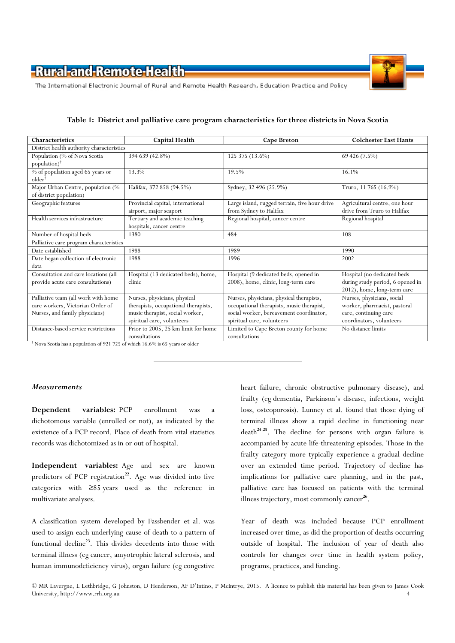

The International Electronic Journal of Rural and Remote Health Research, Education Practice and Policy

| Characteristics                                                                                                                                  | <b>Capital Health</b>                                                                                                                 | <b>Cape Breton</b>                                                                                                                                             | <b>Colchester East Hants</b>                                                                                                          |  |  |  |
|--------------------------------------------------------------------------------------------------------------------------------------------------|---------------------------------------------------------------------------------------------------------------------------------------|----------------------------------------------------------------------------------------------------------------------------------------------------------------|---------------------------------------------------------------------------------------------------------------------------------------|--|--|--|
| District health authority characteristics                                                                                                        |                                                                                                                                       |                                                                                                                                                                |                                                                                                                                       |  |  |  |
| Population (% of Nova Scotia<br>population) $^{\dagger}$                                                                                         | 394 639 (42.8%)                                                                                                                       | 125 375 (13.6%)                                                                                                                                                | 69 426 (7.5%)                                                                                                                         |  |  |  |
| % of population aged 65 years or<br>older                                                                                                        | 13.3%                                                                                                                                 | 19.5%                                                                                                                                                          | 16.1%                                                                                                                                 |  |  |  |
| Major Urban Centre, population (%<br>of district population)                                                                                     | Halifax, 372 858 (94.5%)                                                                                                              | Sydney, 32 496 (25.9%)                                                                                                                                         | Truro, 11 765 (16.9%)                                                                                                                 |  |  |  |
| Geographic features                                                                                                                              | Provincial capital, international<br>airport, major seaport                                                                           | Large island, rugged terrain, five hour drive<br>from Sydney to Halifax                                                                                        | Agricultural centre, one hour<br>drive from Truro to Halifax                                                                          |  |  |  |
| Health services infrastructure                                                                                                                   | Tertiary and academic teaching<br>hospitals, cancer centre                                                                            | Regional hospital, cancer centre                                                                                                                               | Regional hospital                                                                                                                     |  |  |  |
| Number of hospital beds                                                                                                                          | 1380                                                                                                                                  | 484                                                                                                                                                            | 108                                                                                                                                   |  |  |  |
| Palliative care program characteristics                                                                                                          |                                                                                                                                       |                                                                                                                                                                |                                                                                                                                       |  |  |  |
| Date established                                                                                                                                 | 1988                                                                                                                                  | 1989                                                                                                                                                           | 1990                                                                                                                                  |  |  |  |
| Date began collection of electronic<br>data                                                                                                      | 1988                                                                                                                                  | 1996                                                                                                                                                           | 2002                                                                                                                                  |  |  |  |
| Consultation and care locations (all<br>provide acute care consultations)                                                                        | Hospital (13 dedicated beds), home,<br>clinic                                                                                         | Hospital (9 dedicated beds, opened in<br>2008), home, clinic, long-term care                                                                                   | Hospital (no dedicated beds<br>during study period, 6 opened in<br>2012), home, long-term care                                        |  |  |  |
| Palliative team (all work with home<br>care workers, Victorian Order of<br>Nurses, and family physicians)<br>Distance-based service restrictions | Nurses, physicians, physical<br>therapists, occupational therapists,<br>music therapist, social worker,<br>spiritual care, volunteers | Nurses, physicians, physical therapists,<br>occupational therapists, music therapist,<br>social worker, bereavement coordinator,<br>spiritual care, volunteers | Nurses, physicians, social<br>worker, pharmacist, pastoral<br>care, continuing care<br>coordinators, volunteers<br>No distance limits |  |  |  |
|                                                                                                                                                  | Prior to 2005, 25 km limit for home<br>consultations                                                                                  | Limited to Cape Breton county for home<br>consultations                                                                                                        |                                                                                                                                       |  |  |  |

Table 1: District and palliative care program characteristics for three districts in Nova Scotia

† Nova Scotia has a population of 921 725 of which 16.6% is 65 years or older

#### Measurements

Dependent variables: PCP enrollment was a dichotomous variable (enrolled or not), as indicated by the existence of a PCP record. Place of death from vital statistics records was dichotomized as in or out of hospital.

Independent variables: Age and sex are known predictors of PCP registration<sup>22</sup>. Age was divided into five categories with ≥85 years used as the reference in multivariate analyses.

A classification system developed by Fassbender et al. was used to assign each underlying cause of death to a pattern of functional decline<sup>23</sup>. This divides decedents into those with terminal illness (eg cancer, amyotrophic lateral sclerosis, and human immunodeficiency virus), organ failure (eg congestive

heart failure, chronic obstructive pulmonary disease), and frailty (eg dementia, Parkinson's disease, infections, weight loss, osteoporosis). Lunney et al. found that those dying of terminal illness show a rapid decline in functioning near  $death^{24,25}$ . The decline for persons with organ failure is accompanied by acute life-threatening episodes. Those in the frailty category more typically experience a gradual decline over an extended time period. Trajectory of decline has implications for palliative care planning, and in the past, palliative care has focused on patients with the terminal illness trajectory, most commonly cancer<sup>26</sup>.

Year of death was included because PCP enrollment increased over time, as did the proportion of deaths occurring outside of hospital. The inclusion of year of death also controls for changes over time in health system policy, programs, practices, and funding.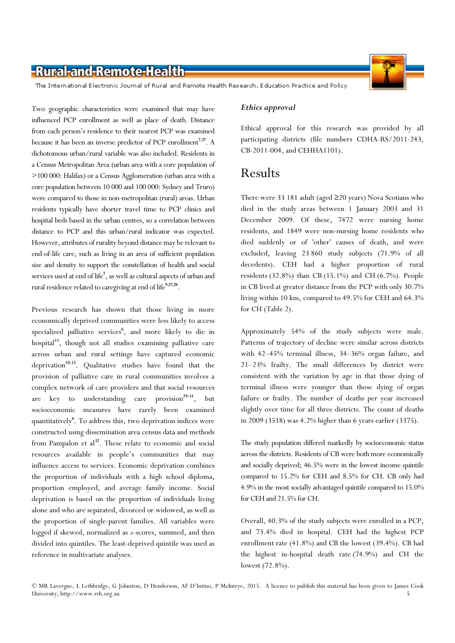

The International Electronic Journal of Rural and Remote Health Research, Education Practice and Policy

Two geographic characteristics were examined that may have influenced PCP enrollment as well as place of death. Distance from each person's residence to their nearest PCP was examined because it has been an inverse predictor of PCP enrollment<sup>7,27</sup>. A dichotomous urban/rural variable was also included. Residents in a Census Metropolitan Area (urban area with a core population of >100 000: Halifax) or a Census Agglomeration (urban area with a core population between 10 000 and 100 000: Sydney and Truro) were compared to those in non-metropolitan (rural) areas. Urban residents typically have shorter travel time to PCP clinics and hospital beds based in the urban centres, so a correlation between distance to PCP and this urban/rural indicator was expected. However, attributes of rurality beyond distance may be relevant to end-of-life care, such as living in an area of sufficient population size and density to support the constellation of health and social services used at end of life<sup>7</sup>, as well as cultural aspects of urban and rural residence related to caregiving at end of life<sup>9,27,28</sup>.

Previous research has shown that those living in more economically deprived communities were less likely to access specialized palliative services<sup>6</sup>, and more likely to die in hospital $11$ , though not all studies examining palliative care across urban and rural settings have captured economic deprivation<sup>10,12</sup>. Qualitative studies have found that the provision of palliative care in rural communities involves a complex network of care providers and that social resources are key to understanding care provision $2^{9-31}$ , but socioeconomic measures have rarely been examined quantitatively<sup>6</sup>. To address this, two deprivation indices were constructed using dissemination area census data and methods from Pampalon et  $al<sup>32</sup>$ . These relate to economic and social resources available in people's communities that may influence access to services. Economic deprivation combines the proportion of individuals with a high school diploma, proportion employed, and average family income. Social deprivation is based on the proportion of individuals living alone and who are separated, divorced or widowed, as well as the proportion of single-parent families. All variables were logged if skewed, normalized as z-scores, summed, and then divided into quintiles. The least-deprived quintile was used as reference in multivariate analyses.

#### Ethics approval

Ethical approval for this research was provided by all participating districts (file numbers CDHA-RS/2011-243, CB-2011-004, and CEHHA1101).

### Results

There were 33 181 adult (aged ≥20 years) Nova Scotians who died in the study areas between 1 January 2003 and 31 December 2009. Of these, 7472 were nursing home residents, and 1849 were non-nursing home residents who died suddenly or of 'other' causes of death, and were excluded, leaving 23 860 study subjects (71.9% of all decedents). CEH had a higher proportion of rural residents (32.8%) than CB (15.1%) and CH (6.7%). People in CB lived at greater distance from the PCP with only 30.7% living within 10 km, compared to 49.5% for CEH and 64.3% for CH (Table 2).

Approximately 54% of the study subjects were male. Patterns of trajectory of decline were similar across districts with 42–45% terminal illness, 34–36% organ failure, and 21–23% frailty. The small differences by district were consistent with the variation by age in that those dying of terminal illness were younger than those dying of organ failure or frailty. The number of deaths per year increased slightly over time for all three districts. The count of deaths in 2009 (3518) was 4.2% higher than 6 years earlier (3375).

The study population differed markedly by socioeconomic status across the districts. Residents of CB were both more economically and socially deprived; 46.5% were in the lowest income quintile compared to 15.2% for CEH and 8.5% for CH. CB only had 4.9% in the most socially advantaged quintile compared to 15.0% for CEH and 21.5% for CH.

Overall, 40.3% of the study subjects were enrolled in a PCP, and 73.4% died in hospital. CEH had the highest PCP enrollment rate (41.8%) and CB the lowest (39.4%). CB had the highest in-hospital death rate (74.9%) and CH the lowest (72.8%).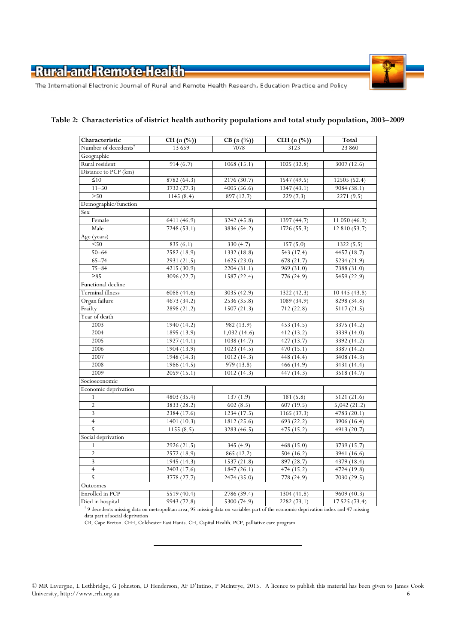

The International Electronic Journal of Rural and Remote Health Research, Education Practice and Policy

| Characteristic                   | CH $(n \, (%)$ | $CB(n (\%))$ | CEH $(n \ (\%)$ | Total                    |
|----------------------------------|----------------|--------------|-----------------|--------------------------|
| Number of decedents <sup>†</sup> | 13659          | 7078         | 3123            | 23 860                   |
| Geographic                       |                |              |                 |                          |
| Rural resident                   | 914(6.7)       | 1068(15.1)   | 1025(32.8)      | 3007 (12.6)              |
| Distance to PCP (km)             |                |              |                 |                          |
| $\leq 10$                        | 8782 (64.3)    | 2176(30.7)   | 1547 (49.5)     | 12505 (52.4)             |
| $11 - 50$                        | 3732 (27.3)    | 4005 (56.6)  | 1347(43.1)      | $\overline{9084}$ (38.1) |
| >50                              | 1145(8.4)      | 897 (12.7)   | 229(7.3)        | 2271 (9.5)               |
| Demographic/function             |                |              |                 |                          |
| Sex                              |                |              |                 |                          |
| Female                           | 6411(46.9)     | 3242 (45.8)  | 1397 (44.7)     | 11 050 (46.3)            |
| Male                             | 7248(53.1)     | 3836 (54.2)  | 1726(55.3)      | 12 810 (53.7)            |
| Age (years)                      |                |              |                 |                          |
| $<$ 50                           | 835 (6.1)      | 330(4.7)     | 157(5.0)        | 1322(5.5)                |
| $50 - 64$                        | 2582(18.9)     | 1332 (18.8)  | 543 (17.4)      | 4457 (18.7)              |
| $65 - 74$                        | 2931(21.5)     | 1625(23.0)   | 678 (21.7)      | 5234 (21.9)              |
| $75 - 84$                        | 4215 (30.9)    | 2204 (31.1)  | 969 (31.0)      | 7388 (31.0)              |
| $\geq 85$                        | 3096 (22.7)    | 1587 (22.4)  | 776 (24.9)      | 5459 (22.9)              |
| Functional decline               |                |              |                 |                          |
| <b>Terminal illness</b>          | 6088 (44.6)    | 3035 (42.9)  | 1322 (42.3)     | 10 445 (43.8)            |
| Organ failure                    | 4673(34.2)     | 2536 (35.8)  | 1089(34.9)      | 8298(34.8)               |
| Frailty                          | 2898 (21.2)    | 1507(21.3)   | 712(22.8)       | 5117(21.5)               |
| Year of death                    |                |              |                 |                          |
| 2003                             | 1940 (14.2)    | 982 (13.9)   | 453 (14.5)      | 3375 (14.2)              |
| 2004                             | 1895 (13.9)    | 1,032(14.6)  | 412(13.2)       | 3339(14.0)               |
| 2005                             | 1927(14.1)     | 1038(14.7)   | 427(13.7)       | 3392 (14.2)              |
| 2006                             | 1904 (13.9)    | 1023(14.5)   | 470(15.1)       | 3387 (14.2)              |
| 2007                             | 1948 (14.3)    | 1012 (14.3)  | 448 (14.4)      | 3408 (14.3)              |
| 2008                             | 1986 (14.5)    | 979 (13.8)   | 466 (14.9)      | 3431 (14.4)              |
| 2009                             | 2059(15.1)     | 1012 (14.3)  | 447(14.3)       | 3518 (14.7)              |
| Socioeconomic                    |                |              |                 |                          |
| Economic deprivation             |                |              |                 |                          |
| $\mathbf{1}$                     | 4803(35.4)     | 137(1.9)     | 181(5.8)        | 5121(21.6)               |
| $\overline{2}$                   | 3833 (28.2)    | 602(8.5)     | 607(19.5)       | 5,042(21.2)              |
| 3                                | 2384 (17.6)    | 1234(17.5)   | 1165(37.3)      | 4783(20.1)               |
| $\overline{4}$                   | 1401(10.3)     | 1812 (25.6)  | 693 (22.2)      | 3906 (16.4)              |
| 5                                | 1155(8.5)      | 3283 (46.5)  | 475(15.2)       | 4913(20.7)               |
| Social deprivation               |                |              |                 |                          |
| 1                                | 2926 (21.5)    | 345 (4.9)    | 468 (15.0)      | 3739 (15.7)              |
| $\overline{2}$                   | 2572(18.9)     | 865 (12.2)   | 504(16.2)       | 3941(16.6)               |
| 3                                | 1945 (14.3)    | 1537 (21.8)  | 897 (28.7)      | 4379 (18.4)              |
| $\overline{4}$                   | 2403 (17.6)    | 1847 (26.1)  | 474(15.2)       | 4724 (19.8)              |
| 5                                | 3778 (27.7)    | 2474 (35.0)  | 778 (24.9)      | 7030 (29.5)              |
| Outcomes                         |                |              |                 |                          |
| Enrolled in PCP                  | 5519(40.4)     | 2786 (39.4)  | 1304(41.8)      | 9609 (40.3)              |
| Died in hospital                 | 9943 (72.8)    | 5300 (74.9)  | 2282 (73.1)     | 17 525 (73.4)            |

#### Table 2: Characteristics of district health authority populations and total study population, 2003–2009

Died in hospital 9943 (72.8) 5300 (74.9) 2282 (73.1) 17 525 (73.4)<br><sup>†</sup> 9 decedents missing data on metropolitan area, 95 missing data on variables part of the economic deprivation index and 47 missing data part of social deprivation

CB, Cape Breton. CEH, Colchester East Hants. CH, Capital Health. PCP, palliative care program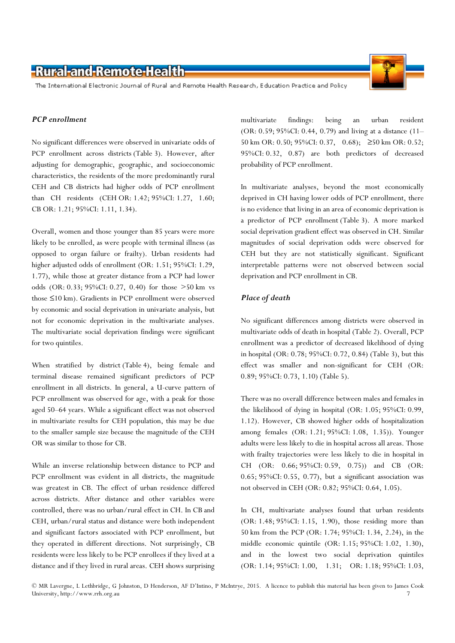The International Electronic Journal of Rural and Remote Health Research, Education Practice and Policy

#### PCP enrollment

No significant differences were observed in univariate odds of PCP enrollment across districts (Table 3). However, after adjusting for demographic, geographic, and socioeconomic characteristics, the residents of the more predominantly rural CEH and CB districts had higher odds of PCP enrollment than CH residents (CEH OR: 1.42; 95%CI: 1.27, 1.60; CB OR: 1.21; 95%CI: 1.11, 1.34).

Overall, women and those younger than 85 years were more likely to be enrolled, as were people with terminal illness (as opposed to organ failure or frailty). Urban residents had higher adjusted odds of enrollment (OR: 1.51; 95%CI: 1.29, 1.77), while those at greater distance from a PCP had lower odds (OR: 0.33; 95%CI: 0.27, 0.40) for those >50 km vs those ≤10 km). Gradients in PCP enrollment were observed by economic and social deprivation in univariate analysis, but not for economic deprivation in the multivariate analyses. The multivariate social deprivation findings were significant for two quintiles.

When stratified by district (Table 4), being female and terminal disease remained significant predictors of PCP enrollment in all districts. In general, a U-curve pattern of PCP enrollment was observed for age, with a peak for those aged 50–64 years. While a significant effect was not observed in multivariate results for CEH population, this may be due to the smaller sample size because the magnitude of the CEH OR was similar to those for CB.

While an inverse relationship between distance to PCP and PCP enrollment was evident in all districts, the magnitude was greatest in CB. The effect of urban residence differed across districts. After distance and other variables were controlled, there was no urban/rural effect in CH. In CB and CEH, urban/rural status and distance were both independent and significant factors associated with PCP enrollment, but they operated in different directions. Not surprisingly, CB residents were less likely to be PCP enrollees if they lived at a distance and if they lived in rural areas. CEH shows surprising

multivariate findings: being an urban resident (OR: 0.59; 95%CI: 0.44, 0.79) and living at a distance (11– 50 km OR: 0.50; 95%CI: 0.37, 0.68); ≥50 km OR: 0.52; 95%CI: 0.32, 0.87) are both predictors of decreased probability of PCP enrollment.

In multivariate analyses, beyond the most economically deprived in CH having lower odds of PCP enrollment, there is no evidence that living in an area of economic deprivation is a predictor of PCP enrollment (Table 3). A more marked social deprivation gradient effect was observed in CH. Similar magnitudes of social deprivation odds were observed for CEH but they are not statistically significant. Significant interpretable patterns were not observed between social deprivation and PCP enrollment in CB.

#### Place of death

No significant differences among districts were observed in multivariate odds of death in hospital (Table 2). Overall, PCP enrollment was a predictor of decreased likelihood of dying in hospital (OR: 0.78; 95%CI: 0.72, 0.84) (Table 3), but this effect was smaller and non-significant for CEH (OR: 0.89; 95%CI: 0.73, 1.10) (Table 5).

There was no overall difference between males and females in the likelihood of dying in hospital (OR: 1.05; 95%CI: 0.99, 1.12). However, CB showed higher odds of hospitalization among females (OR: 1.21; 95%CI: 1.08, 1.35)). Younger adults were less likely to die in hospital across all areas. Those with frailty trajectories were less likely to die in hospital in CH (OR: 0.66; 95%CI: 0.59, 0.75)) and CB (OR: 0.65; 95%CI: 0.55, 0.77), but a significant association was not observed in CEH (OR: 0.82; 95%CI: 0.64, 1.05).

In CH, multivariate analyses found that urban residents (OR: 1.48; 95%CI: 1.15, 1.90), those residing more than 50 km from the PCP (OR: 1.74; 95%CI: 1.34, 2.24), in the middle economic quintile (OR: 1.15; 95%CI: 1.02, 1.30), and in the lowest two social deprivation quintiles (OR: 1.14; 95%CI: 1.00, 1.31; OR: 1.18; 95%CI: 1.03,

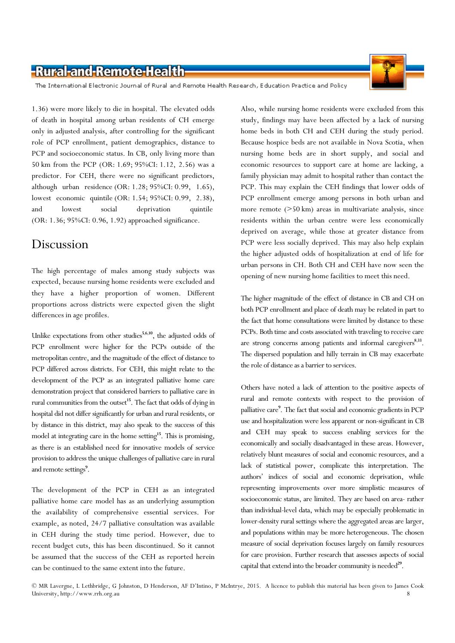The International Electronic Journal of Rural and Remote Health Research, Education Practice and Policy

1.36) were more likely to die in hospital. The elevated odds of death in hospital among urban residents of CH emerge only in adjusted analysis, after controlling for the significant role of PCP enrollment, patient demographics, distance to PCP and socioeconomic status. In CB, only living more than 50 km from the PCP (OR: 1.69; 95%CI: 1.12, 2.56) was a predictor. For CEH, there were no significant predictors, although urban residence (OR: 1.28; 95%CI: 0.99, 1.65), lowest economic quintile (OR: 1.54; 95%CI: 0.99, 2.38), and lowest social deprivation quintile (OR: 1.36; 95%CI: 0.96, 1.92) approached significance.

### Discussion

The high percentage of males among study subjects was expected, because nursing home residents were excluded and they have a higher proportion of women. Different proportions across districts were expected given the slight differences in age profiles.

Unlike expectations from other studies $5,6,10$ , the adjusted odds of PCP enrollment were higher for the PCPs outside of the metropolitan centre, and the magnitude of the effect of distance to PCP differed across districts. For CEH, this might relate to the development of the PCP as an integrated palliative home care demonstration project that considered barriers to palliative care in rural communities from the outset<sup>15</sup>. The fact that odds of dying in hospital did not differ significantly for urban and rural residents, or by distance in this district, may also speak to the success of this model at integrating care in the home setting<sup>15</sup>. This is promising, as there is an established need for innovative models of service provision to address the unique challenges of palliative care in rural and remote settings<sup>9</sup>.

The development of the PCP in CEH as an integrated palliative home care model has as an underlying assumption the availability of comprehensive essential services. For example, as noted, 24/7 palliative consultation was available in CEH during the study time period. However, due to recent budget cuts, this has been discontinued. So it cannot be assumed that the success of the CEH as reported herein can be continued to the same extent into the future.

Also, while nursing home residents were excluded from this study, findings may have been affected by a lack of nursing home beds in both CH and CEH during the study period. Because hospice beds are not available in Nova Scotia, when nursing home beds are in short supply, and social and economic resources to support care at home are lacking, a family physician may admit to hospital rather than contact the PCP. This may explain the CEH findings that lower odds of PCP enrollment emerge among persons in both urban and more remote (>50 km) areas in multivariate analysis, since residents within the urban centre were less economically deprived on average, while those at greater distance from PCP were less socially deprived. This may also help explain the higher adjusted odds of hospitalization at end of life for urban persons in CH. Both CH and CEH have now seen the opening of new nursing home facilities to meet this need.

The higher magnitude of the effect of distance in CB and CH on both PCP enrollment and place of death may be related in part to the fact that home consultations were limited by distance to these PCPs. Both time and costs associated with traveling to receive care are strong concerns among patients and informal caregivers<sup>8,33</sup>. The dispersed population and hilly terrain in CB may exacerbate the role of distance as a barrier to services.

Others have noted a lack of attention to the positive aspects of rural and remote contexts with respect to the provision of palliative care<sup>9</sup>. The fact that social and economic gradients in PCP use and hospitalization were less apparent or non-significant in CB and CEH may speak to success enabling services for the economically and socially disadvantaged in these areas. However, relatively blunt measures of social and economic resources, and a lack of statistical power, complicate this interpretation. The authors' indices of social and economic deprivation, while representing improvements over more simplistic measures of socioeconomic status, are limited. They are based on area- rather than individual-level data, which may be especially problematic in lower-density rural settings where the aggregated areas are larger, and populations within may be more heterogeneous. The chosen measure of social deprivation focuses largely on family resources for care provision. Further research that assesses aspects of social capital that extend into the broader community is needed<sup>29</sup>.

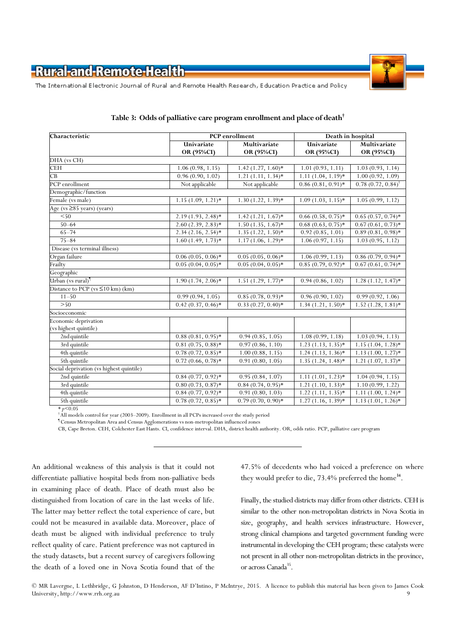

The International Electronic Journal of Rural and Remote Health Research, Education Practice and Policy

| Characteristic                           |                      | PCP enrollment       | Death in hospital    |                      |  |
|------------------------------------------|----------------------|----------------------|----------------------|----------------------|--|
|                                          | Univariate           | Multivariate         | Univariate           | Multivariate         |  |
|                                          | OR (95%CI)           | OR (95%CI)           | OR (95%CI)           | OR (95%CI)           |  |
| DHA (vs CH)                              |                      |                      |                      |                      |  |
| <b>CEH</b>                               | 1.06(0.98, 1.15)     | $1.42(1.27, 1.60)*$  | 1.01(0.93, 1.11)     | 1.03(0.93, 1.14)     |  |
| $\overline{CB}$                          | 0.96(0.90, 1.02)     | $1.21(1.11, 1.34)*$  | $1.11(1.04, 1.19)*$  | 1.00(0.92, 1.09)     |  |
| PCP enrollment                           | Not applicable       | Not applicable       | $0.86(0.81, 0.91)$ * | 0.78(0.72, 0.84)     |  |
| Demographic/function                     |                      |                      |                      |                      |  |
| Female (vs male)                         | $1.15(1.09, 1.21)$ * | $1.30(1.22, 1.39)*$  | $1.09(1.03, 1.15)$ * | 1.05(0.99, 1.12)     |  |
| Age ( $vs \geq 85$ years) (years)        |                      |                      |                      |                      |  |
| $\overline{50}$                          | $2.19(1.93, 2.48)$ * | $1.42(1.21, 1.67)$ * | $0.66(0.58, 0.75)$ * | $0.65(0.57, 0.74)$ * |  |
| $50 - 64$                                | $2.60(2.39, 2.83)*$  | $1.50(1.35, 1.67)$ * | $0.68(0.63, 0.75)*$  | $0.67(0.61, 0.73)*$  |  |
| $65 - 74$                                | $2.34(2.16, 2.54)*$  | $1.35(1.22, 1.50)*$  | 0.92(0.85, 1.01)     | $0.89(0.81, 0.98)$ * |  |
| $75 - 84$                                | $1.60(1.49, 1.73)*$  | $1.17(1.06, 1.29)*$  | 1.06(0.97, 1.15)     | 1.03(0.95, 1.12)     |  |
| Disease (vs terminal illness)            |                      |                      |                      |                      |  |
| Organ failure                            | $0.06(0.05, 0.06)$ * | $0.05(0.05, 0.06)$ * | 1.06(0.99, 1.13)     | $0.86(0.79, 0.94)$ * |  |
| Frailty                                  | $0.05(0.04, 0.05)$ * | $0.05(0.04, 0.05)$ * | $0.85(0.79, 0.92)$ * | $0.67(0.61, 0.74)$ * |  |
| Geographic                               |                      |                      |                      |                      |  |
| Urban (vs rural) <sup>¶</sup>            | $1.90(1.74, 2.06)*$  | $1.51(1.29, 1.77)*$  | 0.94(0.86, 1.02)     | $1.28(1.12, 1.47)^*$ |  |
| Distance to PCP ( $vs \leq 10$ km) (km)  |                      |                      |                      |                      |  |
| $11 - 50$                                | 0.99(0.94, 1.05)     | $0.85(0.78, 0.93)*$  | 0.96(0.90, 1.02)     | 0.99(0.92, 1.06)     |  |
| >50                                      | $0.42(0.37, 0.46)*$  | $0.33(0.27, 0.40)$ * | $1.34(1.21, 1.50)*$  | $1.52(1.28, 1.81)$ * |  |
| Socioeconomic                            |                      |                      |                      |                      |  |
| Economic deprivation                     |                      |                      |                      |                      |  |
| (vs highest quintile)                    |                      |                      |                      |                      |  |
| 2nd quintile                             | $0.88(0.81, 0.95)$ * | 0.94(0.85, 1.05)     | 1.08(0.99, 1.18)     | 1.03(0.94, 1.13)     |  |
| 3rd quintile                             | $0.81(0.75, 0.88)*$  | 0.97(0.86, 1.10)     | $1.23(1.13, 1.35)*$  | $1.15(1.04, 1.28)$ * |  |
| 4th quintile                             | $0.78(0.72, 0.85)$ * | 1.00(0.88, 1.15)     | $1.24(1.13, 1.36)*$  | $1.13(1.00, 1.27)$ * |  |
| 5th quintile                             | $0.72(0.66, 0.78)$ * | 0.91(0.80, 1.05)     | $1.35(1.24, 1.48)$ * | $1.21(1.07, 1.37)*$  |  |
| Social deprivation (vs highest quintile) |                      |                      |                      |                      |  |
| 2nd quintile                             | $0.84(0.77, 0.92)$ * | 0.95(0.84, 1.07)     | $1.11(1.01, 1.23)*$  | 1.04(0.94, 1.15)     |  |
| 3rd quintile                             | $0.80(0.73, 0.87)$ * | $0.84(0.74, 0.95)*$  | $1.21(1.10, 1.33)*$  | 1.10(0.99, 1.22)     |  |
| 4th quintile                             | $0.84(0.77, 0.92)*$  | 0.91(0.80, 1.03)     | $1.22(1.11, 1.35)*$  | $1.11(1.00, 1.24)$ * |  |
| 5th quintile                             | $0.78(0.72, 0.85)$ * | $0.79(0.70, 0.90)$ * | $1.27(1.16, 1.39)*$  | $1.13(1.01, 1.26)$ * |  |

#### Table 3: Odds of palliative care program enrollment and place of death†

 $*_{p}<0.05$ 

† All models control for year (2003–2009). Enrollment in all PCPs increased over the study period

¶ Census Metropolitan Area and Census Agglomerations vs non-metropolitan influenced zones

CB, Cape Breton. CEH, Colchester East Hants. CI, confidence interval. DHA, district health authority. OR, odds ratio. PCP, palliative care program

An additional weakness of this analysis is that it could not differentiate palliative hospital beds from non-palliative beds in examining place of death. Place of death must also be distinguished from location of care in the last weeks of life. The latter may better reflect the total experience of care, but could not be measured in available data. Moreover, place of death must be aligned with individual preference to truly reflect quality of care. Patient preference was not captured in the study datasets, but a recent survey of caregivers following the death of a loved one in Nova Scotia found that of the 47.5% of decedents who had voiced a preference on where they would prefer to die, 73.4% preferred the home<sup>34</sup>.

Finally, the studied districts may differ from other districts. CEH is similar to the other non-metropolitan districts in Nova Scotia in size, geography, and health services infrastructure. However, strong clinical champions and targeted government funding were instrumental in developing the CEH program; these catalysts were not present in all other non-metropolitan districts in the province, or across Canada<sup>35</sup>.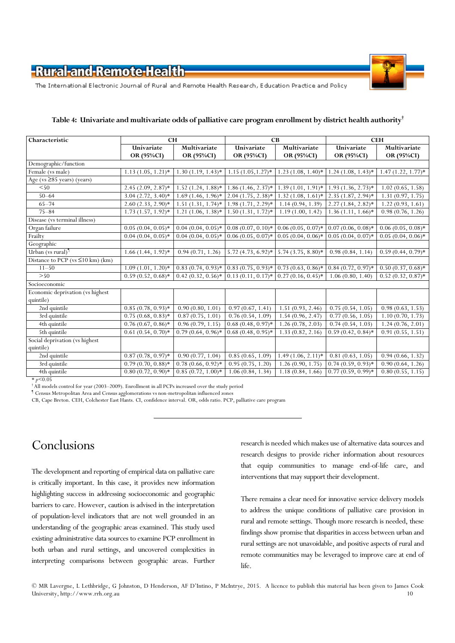

The International Electronic Journal of Rural and Remote Health Research, Education Practice and Policy

| Characteristic                          | <b>CH</b>                       |                      | CB                   |                                                                                 | <b>CEH</b>           |                      |  |
|-----------------------------------------|---------------------------------|----------------------|----------------------|---------------------------------------------------------------------------------|----------------------|----------------------|--|
|                                         | Univariate                      | Multivariate         | Univariate           | Multivariate                                                                    | Univariate           | Multivariate         |  |
|                                         | OR (95%CI)                      | OR (95%CI)           | OR (95%CI)           | OR (95%CI)                                                                      | OR (95%CI)           | OR (95%CI)           |  |
| Demographic/function                    |                                 |                      |                      |                                                                                 |                      |                      |  |
| Female (vs male)                        | $1.13(1.05, 1.21)*$             | $1.30(1.19, 1.43)*$  | $1.15(1.05, 1.27)*$  | $1.23(1.08, 1.40)*$                                                             | $1.24(1.08, 1.43)*$  | $1.47(1.22, 1.77)*$  |  |
| Age ( $vs \geq 85$ years) (years)       |                                 |                      |                      |                                                                                 |                      |                      |  |
| $<$ 50                                  | $2.45(2.09, 2.87)^*$            | $1.52$ (1.24, 1.88)* | $1.86(1.46, 2.37)$ * | $1.39(1.01, 1.91)*$                                                             | $1.93(1.36, 2.73)*$  | 1.02(0.65, 1.58)     |  |
| $50 - 64$                               | $3.04(2.72, 3.40)*$             | $1.69(1.46, 1.96)$ * | $2.04(1.75, 2.38)*$  | $1.32(1.08, 1.61)*$                                                             | $2.35(1.87, 2.94)*$  | 1.31(0.97, 1.75)     |  |
| $65 - 74$                               | $2.60(2.33, 2.90)$ *            | $1.51(1.31, 1.74)$ * | $1.98(1.71, 2.29)$ * | 1.14(0.94, 1.39)                                                                | $2.27(1.84, 2.82)^*$ | 1.22(0.93, 1.61)     |  |
| $75 - 84$                               | $1.73(1.57, 1.92)*$             | $1.21(1.06, 1.38)*$  | $1.50(1.31, 1.72)*$  | 1.19(1.00, 1.42)                                                                | $1.36(1.11, 1.66)$ * | 0.98(0.76, 1.26)     |  |
| Disease (vs terminal illness)           |                                 |                      |                      |                                                                                 |                      |                      |  |
| Organ failure                           | $0.05(0.04, 0.05)^*$            | $0.04(0.04, 0.05)$ * |                      | $0.08(0.07, 0.10)*$ 0.06 (0.05, 0.07)* 0.07 (0.06, 0.08)*                       |                      | $0.06(0.05, 0.08)$ * |  |
| Frailty                                 | $\overline{0.04}$ (0.04, 0.05)* | $0.04(0.04, 0.05)$ * | $0.06(0.05, 0.07)$ * | $0.05(0.04, 0.06)*$                                                             | $0.05(0.04, 0.07)$ * | $0.05(0.04, 0.06)$ * |  |
| Geographic                              |                                 |                      |                      |                                                                                 |                      |                      |  |
| Urban (vs rural)                        | $1.66(1.44, 1.92)*$             | 0.94(0.71, 1.26)     | $5.72(4.73, 6.92)$ * | $5.74(3.75, 8.80)*$                                                             | 0.98(0.84, 1.14)     | $0.59(0.44, 0.79)*$  |  |
| Distance to PCP ( $vs \leq 10$ km) (km) |                                 |                      |                      |                                                                                 |                      |                      |  |
| $11 - 50$                               | $1.09(1.01, 1.20)$ *            |                      |                      | $0.83(0.74, 0.93)*$ $0.83(0.75, 0.93)*$ $0.73(0.63, 0.86)*$ $0.84(0.72, 0.97)*$ |                      | $0.50(0.37, 0.68)$ * |  |
| >50                                     | $0.59(0.52, 0.68)$ *            | $0.42(0.32, 0.56)$ * |                      | $0.13(0.11, 0.17)^*$ 0.27 $(0.16, 0.45)^*$                                      | 1.06(0.80, 1.40)     | $0.52(0.32, 0.87)$ * |  |
| Socioeconomic                           |                                 |                      |                      |                                                                                 |                      |                      |  |
| Economic deprivation (vs highest        |                                 |                      |                      |                                                                                 |                      |                      |  |
| quintile)                               |                                 |                      |                      |                                                                                 |                      |                      |  |
| 2nd quintile                            | $\overline{0.85}$ (0.78, 0.93)* | 0.90(0.80, 1.01)     | 0.97(0.67, 1.41)     | $\overline{1.51}$ (0.93, 2.46)                                                  | 0.75(0.54, 1.05)     | 0.98(0.63, 1.53)     |  |
| 3rd quintile                            | $0.75(0.68, 0.83)*$             | 0.87(0.75, 1.01)     | 0.76(0.54, 1.09)     | 1.54(0.96, 2.47)                                                                | 0.77(0.56, 1.05)     | 1.10(0.70, 1.73)     |  |
| 4th quintile                            | $0.76(0.67, 0.86)$ *            | 0.96(0.79, 1.15)     | $0.68(0.48, 0.97)$ * | 1.26(0.78, 2.03)                                                                | 0.74(0.54, 1.03)     | 1.24(0.76, 2.01)     |  |
| 5th quintile                            | $0.61(0.54, 0.70)*$             | $0.79(0.64, 0.96)$ * | $0.68(0.48, 0.95)$ * | 1.33(0.82, 2.16)                                                                | $0.59(0.42, 0.84)$ * | 0.91(0.55, 1.51)     |  |
| Social deprivation (vs highest          |                                 |                      |                      |                                                                                 |                      |                      |  |
| quintile)                               |                                 |                      |                      |                                                                                 |                      |                      |  |
| 2nd quintile                            | $0.87(0.78, 0.97)^*$            | 0.90(0.77, 1.04)     | 0.85(0.65, 1.09)     | $1.49(1.06, 2.11)*$                                                             | 0.81(0.63, 1.05)     | 0.94(0.66, 1.32)     |  |
| 3rd quintile                            | $0.79(0.70, 0.88)$ *            | $0.78(0.66, 0.92)$ * | 0.95(0.75, 1.20)     | 1.26(0.90, 1.75)                                                                | $0.74(0.59, 0.93)*$  | 0.90(0.64, 1.26)     |  |
| 4th quintile                            | $0.80(0.72, 0.90)$ *            | $0.85(0.72, 1.00)*$  | 1.06(0.84, 1.34)     | 1.18(0.84, 1.66)                                                                | $0.77(0.59, 0.99)*$  | 0.80(0.55, 1.15)     |  |

#### Table 4: Univariate and multivariate odds of palliative care program enrollment by district health authority $^{\dagger}$

 $*$  p<0.05

† All models control for year (2003–2009). Enrollment in all PCPs increased over the study period

¶ Census Metropolitan Area and Census agglomerations vs non-metropolitan influenced zones

CB, Cape Breton. CEH, Colchester East Hants. CI, confidence interval. OR, odds ratio. PCP, palliative care program

# Conclusions

The development and reporting of empirical data on palliative care is critically important. In this case, it provides new information highlighting success in addressing socioeconomic and geographic barriers to care. However, caution is advised in the interpretation of population-level indicators that are not well grounded in an understanding of the geographic areas examined. This study used existing administrative data sources to examine PCP enrollment in both urban and rural settings, and uncovered complexities in interpreting comparisons between geographic areas. Further

research is needed which makes use of alternative data sources and research designs to provide richer information about resources that equip communities to manage end-of-life care, and interventions that may support their development.

There remains a clear need for innovative service delivery models to address the unique conditions of palliative care provision in rural and remote settings. Though more research is needed, these findings show promise that disparities in access between urban and rural settings are not unavoidable, and positive aspects of rural and remote communities may be leveraged to improve care at end of life.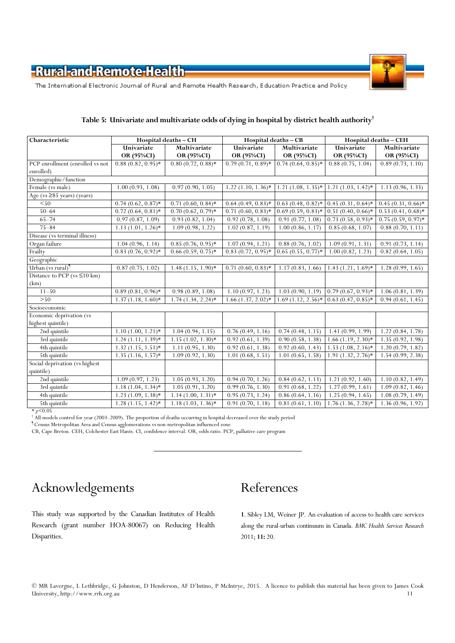

The International Electronic Journal of Rural and Remote Health Research, Education Practice and Policy

| Characteristic                      | Hospital deaths - CH |                      | Hospital deaths - CB |                                        | Hospital deaths - CEH                    |                                    |  |  |
|-------------------------------------|----------------------|----------------------|----------------------|----------------------------------------|------------------------------------------|------------------------------------|--|--|
|                                     | Univariate           | Multivariate         | Univariate           | Multivariate                           | Univariate                               | Multivariate                       |  |  |
|                                     | OR (95%CI)           | OR (95%CI)           | OR (95%CI)           | OR (95%CI)                             | OR (95%CI)                               | OR (95%CI)                         |  |  |
| PCP enrollment (enrolled vs not     | $0.88(0.82, 0.95)$ * | $0.80(0.72, 0.88)$ * | $0.79(0.71, 0.89)*$  | $0.74(0.64, 0.85)$ *                   | 0.88(0.75, 1.04)                         | 0.89(0.73, 1.10)                   |  |  |
| enrolled)                           |                      |                      |                      |                                        |                                          |                                    |  |  |
| Demographic/function                |                      |                      |                      |                                        |                                          |                                    |  |  |
| Female (vs male)                    | 1.00(0.93, 1.08)     | 0.97(0.90, 1.05)     | $1.22(1.10, 1.36)$ * | $1.21(1.08, 1.35)^*$                   | $1.21(1.03, 1.42)$ *                     | 1.13(0.96, 1.33)                   |  |  |
| Age ( $vs \geq 85$ years) (years)   |                      |                      |                      |                                        |                                          |                                    |  |  |
| < 50                                | $0.74(0.62, 0.87)$ * | $0.71(0.60, 0.84)$ * | $0.64(0.49, 0.83)*$  | $0.63(0.48, 0.82)*$ 0.45 (0.31, 0.64)* |                                          | $0.45(0.31, 0.66)$ *               |  |  |
| $50 - 64$                           | $0.72(0.64, 0.81)$ * | $0.70(0.62, 0.79)*$  | $0.71(0.60, 0.83)$ * | $0.69(0.59, 0.83)*$                    | $0.51(0.40, 0.66)$ *                     | $\overline{0.53}$ $(0.41, 0.68)$ * |  |  |
| $65 - 74$                           | 0.97(0.87, 1.09)     | 0.93(0.82, 1.04)     | 0.92(0.78, 1.08)     | 0.91(0.77, 1.08)                       | $0.73(0.58, 0.93)*$                      | $0.75(0.59, 0.97)$ *               |  |  |
| $75 - 84$                           | $1.13(1.01, 1.26)$ * | 1.09(0.98, 1.22)     | 1.02(0.87, 1.19)     | 1.00(0.86, 1.17)                       | 0.85(0.68, 1.07)                         | 0.88(0.70, 1.11)                   |  |  |
| Disease (vs terminal illness)       |                      |                      |                      |                                        |                                          |                                    |  |  |
| Organ failure                       | 1.04(0.96, 1.14)     | $0.85(0.76, 0.95)$ * | 1.07(0.94, 1.21)     | 0.88(0.76, 1.02)                       | 1.09(0.91, 1.31)                         | 0.91(0.73, 1.14)                   |  |  |
| Frailty                             | $0.83(0.76, 0.92)$ * | $0.66(0.59, 0.75)$ * | $0.83(0.72, 0.95)$ * | $0.65(0.55, 0.77)$ *                   | 1.00(0.82, 1.23)                         | 0.82(0.64, 1.05)                   |  |  |
| Geographic                          |                      |                      |                      |                                        |                                          |                                    |  |  |
| Urban (vs rural)                    | 0.87(0.75, 1.02)     | $1.48(1.15, 1.90)$ * | $0.71(0.60, 0.83)*$  | 1.17(0.83, 1.66)                       | $1.43(1.21, 1.69)*$                      | 1.28(0.99, 1.65)                   |  |  |
| Distance to PCP ( $vs \leq 10 km$ ) |                      |                      |                      |                                        |                                          |                                    |  |  |
| (km)                                |                      |                      |                      |                                        |                                          |                                    |  |  |
| $11 - 50$                           | $0.89(0.81, 0.96)$ * | 0.98(0.89, 1.08)     | 1.10(0.97, 1.23)     |                                        | $1.03(0.90, 1.19)$ 0.79 $(0.67, 0.93)$ * | 1.06(0.81, 1.39)                   |  |  |
| >50                                 | $1.37(1.18, 1.60)*$  | $1.74(1.34, 2.24)*$  | $1.66(1.37, 2.02)*$  |                                        | $1.69(1.12, 2.56)* 0.63(0.47, 0.85)* $   | 0.94(0.61, 1.45)                   |  |  |
| Socioeconomic                       |                      |                      |                      |                                        |                                          |                                    |  |  |
| Economic deprivation (vs            |                      |                      |                      |                                        |                                          |                                    |  |  |
| highest quintile)                   |                      |                      |                      |                                        |                                          |                                    |  |  |
| 2nd quintile                        | $1.10(1.00, 1.21)*$  | 1.04(0.94, 1.15)     | 0.76(0.49, 1.16)     | 0.74(0.48, 1.15)                       | 1.41(0.99, 1.99)                         | 1.22(0.84, 1.78)                   |  |  |
| 3rd quintile                        | $1.24(1.11, 1.39)*$  | $1.15(1.02, 1.30)$ * | 0.92(0.61, 1.39)     | 0.90(0.58, 1.38)                       | $1.66(1.19, 2.30)*$                      | 1.35(0.92, 1.98)                   |  |  |
| 4th quintile                        | $1.32(1.15, 1.51)*$  | 1.11(0.95, 1.30)     | 0.92(0.61, 1.38)     | 0.92(0.60, 1.43)                       | $1.53(1.08, 2.16)*$                      | 1.20(0.79, 1.82)                   |  |  |
| 5th quintile                        | $1.35(1.16, 1.57)*$  | 1.09(0.92, 1.30)     | 1.01(0.68, 1.51)     | 1.01(0.65, 1.58)                       | $1.91(1.32, 2.76)*$                      | 1.54(0.99, 2.38)                   |  |  |
| Social deprivation (vs highest      |                      |                      |                      |                                        |                                          |                                    |  |  |
| quintile)                           |                      |                      |                      |                                        |                                          |                                    |  |  |
| 2nd quintile                        | 1.09(0.97, 1.23)     | 1.05(0.93, 1.20)     | 0.94(0.70, 1.26)     | 0.84(0.62, 1.13)                       | 1.21(0.92, 1.60)                         | 1.10(0.82, 1.49)                   |  |  |
| 3rd quintile                        | $1.18(1.04, 1.34)$ * | 1.05(0.91, 1.20)     | 0.99(0.76, 1.30)     | 0.91(0.68, 1.22)                       | 1.27(0.99, 1.61)                         | 1.09(0.82, 1.46)                   |  |  |
| 4th quintile                        | $1.23(1.09, 1.38)*$  | $1.14(1.00, 1.31)*$  | 0.95(0.73, 1.24)     | 0.86(0.64, 1.16)                       | 1.25(0.94, 1.65)                         | 1.08(0.79, 1.49)                   |  |  |
| 5th quintile                        | $1.28(1.15, 1.42)*$  | $1.18(1.03, 1.36)$ * | 0.91(0.70, 1.18)     | 0.81(0.61, 1.10)                       | $1.76(1.36, 2.28)*$                      | 1.36(0.96, 1.92)                   |  |  |

#### Table 5: Univariate and multivariate odds of dying in hospital by district health authority<sup>†</sup>

 $*_{p}$ <0.05

† All models control for year (2003–2009). The proportion of deaths occurring in hospital decreased over the study period

¶ Census Metropolitan Area and Census agglomerations vs non-metropolitan influenced zone

CB, Cape Breton. CEH, Colchester East Hants. CI, confidence interval. OR, odds ratio. PCP, palliative care program

# Acknowledgements

# References

This study was supported by the Canadian Institutes of Health Research (grant number HOA-80067) on Reducing Health Disparities.

1. Sibley LM, Weiner JP. An evaluation of access to health care services along the rural-urban continuum in Canada. BMC Health Services Research 2011; 11: 20.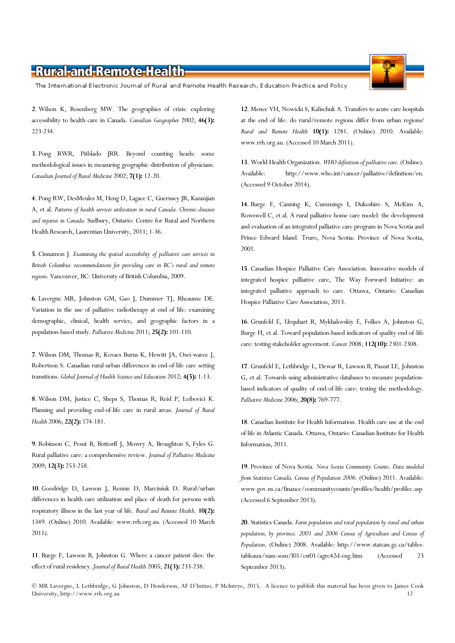The International Electronic Journal of Rural and Remote Health Research, Education Practice and Policy

2. Wilson K, Rosenberg MW. The geographies of crisis: exploring accessibility to health care in Canada. Canadian Geographer 2002; 46(3): 223-234.

3. Pong RWR, Pitblado JRR. Beyond counting heads: some methodological issues in measuring geographic distribution of physicians. Canadian Journal of Rural Medicine 2002; 7(1): 12-20.

4. Pong RW, DesMeules M, Heng D, Lagace C, Guernsey JR, Kazanjian A, et al. Patterns of health services utilization in rural Canada. Chronic diseases and injuries in Canada. Sudbury, Ontario: Centre for Rural and Northern Health Research, Laurentian University, 2011; 1-36.

5. Cinnamon J. Examining the spatial accessibility of palliative care services in British Columbia: recommendations for providing care in BC's rural and remote regions. Vancouver, BC: University of British Columbia, 2009.

6. Lavergne MR, Johnston GM, Gao J, Dummer TJ, Rheaume DE. Variation in the use of palliative radiotherapy at end of life: examining demographic, clinical, health service, and geographic factors in a population-based study. Palliative Medicine 2011; 25(2): 101-110.

7. Wilson DM, Thomas R, Kovacs Burns K, Hewitt JA, Osei-waree J, Robertson S. Canadian rural-urban differences in end-of-life care setting transitions. Global Journal of Health Science and Education 2012; 4(5): 1-13.

8. Wilson DM, Justice C, Sheps S, Thomas R, Reid P, Leibovici K. Planning and providing end-of-life care in rural areas. Journal of Rural Health 2006; 22(2): 174-181.

9. Robinson C, Pesut B, Bottorff J, Mowry A, Broughton S, Fyles G. Rural palliative care: a comprehensive review. Journal of Palliative Medicine 2009; 12(3): 253-258.

10. Goodridge D, Lawson J, Rennie D, Marciniuk D. Rural/urban differences in health care utilization and place of death for persons with respiratory illness in the last year of life. Rural and Remote Health. 10(2): 1349. (Online) 2010. Available: www.rrh.org.au. (Accessed 10 March 2011).

11. Burge F, Lawson B, Johnston G. Where a cancer patient dies: the effect of rural residency. Journal of Rural Health 2005; 21(3): 233-238.

12. Menec VH, Nowicki S, Kalischuk A. Transfers to acute care hospitals at the end of life: do rural/remote regions differ from urban regions? Rural and Remote Health 10(1): 1281. (Online) 2010. Available: www.rrh.org.au. (Accessed 10 March 2011).

13. World Health Organization. WHO definition of palliative care. (Online). Available: http://www.who.int/cancer/palliative/definition/en. (Accessed 9 October 2014).

14. Burge F, Canning K, Cummings I, Dukeshire S, McKim A, Rowswell C, et al. A rural palliative home care model: the development and evaluation of an integrated palliative care program in Nova Scotia and Prince Edward Island. Truro, Nova Scotia: Province of Nova Scotia, 2001.

15. Canadian Hospice Palliative Care Association. Innovative models of integrated hospice palliative care, The Way Forward Initiative: an integrated palliative approach to care. Ottawa, Ontario: Canadian Hospice Palliative Care Association, 2013.

16. Grunfeld E, Urquhart R, Mykhalovskiy E, Folkes A, Johnston G, Burge FI, et al. Toward population-based indicators of quality end-of-life care: testing stakeholder agreement. Cancer 2008; 112(10): 2301-2308.

17. Grunfeld E, Lethbridge L, Dewar R, Lawson B, Paszat LF, Johnston G, et al. Towards using administrative databases to measure populationbased indicators of quality of end-of-life care: testing the methodology. Palliative Medicine 2006; 20(8): 769-777.

18. Canadian Institute for Health Information. Health care use at the end of life in Atlantic Canada. Ottawa, Ontario: Canadian Institute for Health Information, 2011.

19. Province of Nova Scotia. Nova Scotia Community Counts. Data modeled from Statistics Canada, Census of Population 2006. (Online) 2011. Available: www.gov.ns.ca/finance/communitycounts/profiles/health/profilec.asp (Accessed 6 September 2013).

20. Statistics Canada. Farm population and total population by rural and urban population, by province. 2001 and 2006 Census of Agriculture and Census of Population. (Online) 2008. Available: http://www.statcan.gc.ca/tablestableaux/sum-som/l01/cst01/agrc42d-eng.htm (Accessed 23 September 2013).